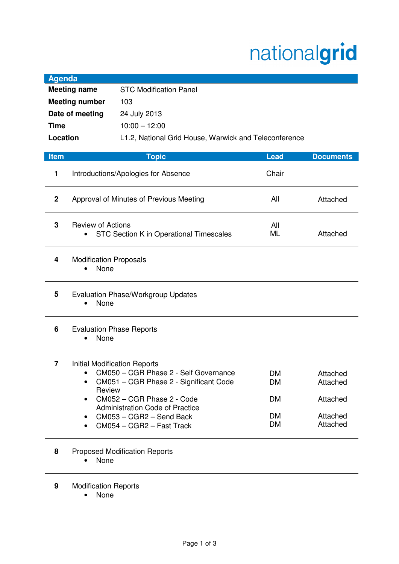## nationalgrid

| <b>Agenda</b>         |                                                                     |                                                                                                                                                                                                                                                         |                                                 |                                                          |  |
|-----------------------|---------------------------------------------------------------------|---------------------------------------------------------------------------------------------------------------------------------------------------------------------------------------------------------------------------------------------------------|-------------------------------------------------|----------------------------------------------------------|--|
| <b>Meeting name</b>   |                                                                     | <b>STC Modification Panel</b>                                                                                                                                                                                                                           |                                                 |                                                          |  |
| <b>Meeting number</b> |                                                                     | 103                                                                                                                                                                                                                                                     |                                                 |                                                          |  |
| Date of meeting       |                                                                     | 24 July 2013                                                                                                                                                                                                                                            |                                                 |                                                          |  |
| <b>Time</b>           |                                                                     | $10:00 - 12:00$                                                                                                                                                                                                                                         |                                                 |                                                          |  |
| Location              |                                                                     | L1.2, National Grid House, Warwick and Teleconference                                                                                                                                                                                                   |                                                 |                                                          |  |
|                       |                                                                     |                                                                                                                                                                                                                                                         |                                                 |                                                          |  |
| <b>Item</b>           |                                                                     | <b>Topic</b>                                                                                                                                                                                                                                            | <b>Lead</b>                                     | <b>Documents</b>                                         |  |
| 1                     | Introductions/Apologies for Absence                                 |                                                                                                                                                                                                                                                         | Chair                                           |                                                          |  |
| $\mathbf 2$           | Approval of Minutes of Previous Meeting                             |                                                                                                                                                                                                                                                         | All                                             | Attached                                                 |  |
| 3                     | <b>Review of Actions</b><br>STC Section K in Operational Timescales |                                                                                                                                                                                                                                                         | All<br>ML                                       | Attached                                                 |  |
| 4                     | <b>Modification Proposals</b><br>None                               |                                                                                                                                                                                                                                                         |                                                 |                                                          |  |
| 5                     | <b>Evaluation Phase/Workgroup Updates</b><br>None                   |                                                                                                                                                                                                                                                         |                                                 |                                                          |  |
| 6                     | <b>Evaluation Phase Reports</b><br>None                             |                                                                                                                                                                                                                                                         |                                                 |                                                          |  |
| 7                     | Review<br>$\bullet$<br>٠<br>٠                                       | <b>Initial Modification Reports</b><br>CM050 - CGR Phase 2 - Self Governance<br>CM051 - CGR Phase 2 - Significant Code<br>CM052 - CGR Phase 2 - Code<br><b>Administration Code of Practice</b><br>CM053 - CGR2 - Send Back<br>CM054 - CGR2 - Fast Track | DM<br>DM<br><b>DM</b><br><b>DM</b><br><b>DM</b> | Attached<br>Attached<br>Attached<br>Attached<br>Attached |  |
| 8                     | None                                                                | <b>Proposed Modification Reports</b>                                                                                                                                                                                                                    |                                                 |                                                          |  |

**9** Modification Reports

• None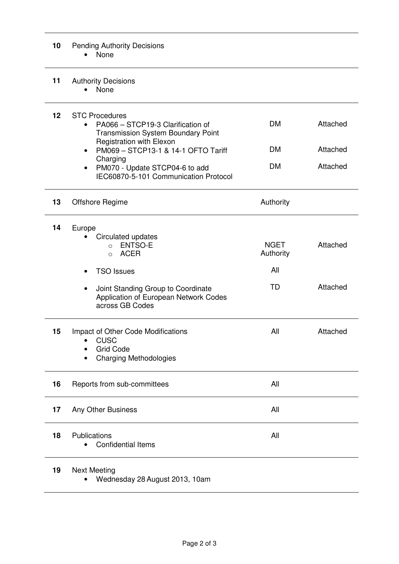## **10** Pending Authority Decisions • None

## 11 Authority Decisions

• None

| 12 | <b>STC Procedures</b><br>PA066 - STCP19-3 Clarification of<br><b>Transmission System Boundary Point</b><br>Registration with Elexon<br>PM069 - STCP13-1 & 14-1 OFTO Tariff<br>$\bullet$<br>Charging<br>PM070 - Update STCP04-6 to add<br>$\bullet$<br>IEC60870-5-101 Communication Protocol | <b>DM</b><br><b>DM</b><br><b>DM</b>          | Attached<br>Attached<br>Attached |
|----|---------------------------------------------------------------------------------------------------------------------------------------------------------------------------------------------------------------------------------------------------------------------------------------------|----------------------------------------------|----------------------------------|
| 13 | Offshore Regime                                                                                                                                                                                                                                                                             | Authority                                    |                                  |
| 14 | Europe<br>Circulated updates<br>ENTSO-E<br>$\circ$<br><b>ACER</b><br>$\Omega$<br><b>TSO Issues</b><br>Joint Standing Group to Coordinate<br>$\bullet$<br>Application of European Network Codes<br>across GB Codes                                                                           | <b>NGET</b><br>Authority<br>All<br><b>TD</b> | Attached<br>Attached             |
| 15 | Impact of Other Code Modifications<br><b>CUSC</b><br><b>Grid Code</b><br>٠<br><b>Charging Methodologies</b>                                                                                                                                                                                 | All                                          | Attached                         |
| 16 | Reports from sub-committees                                                                                                                                                                                                                                                                 | All                                          |                                  |
| 17 | Any Other Business                                                                                                                                                                                                                                                                          | All                                          |                                  |
| 18 | Publications<br><b>Confidential Items</b>                                                                                                                                                                                                                                                   | All                                          |                                  |
| 19 | <b>Next Meeting</b><br>Wednesday 28 August 2013, 10am<br>$\bullet$                                                                                                                                                                                                                          |                                              |                                  |

Page 2 of 3